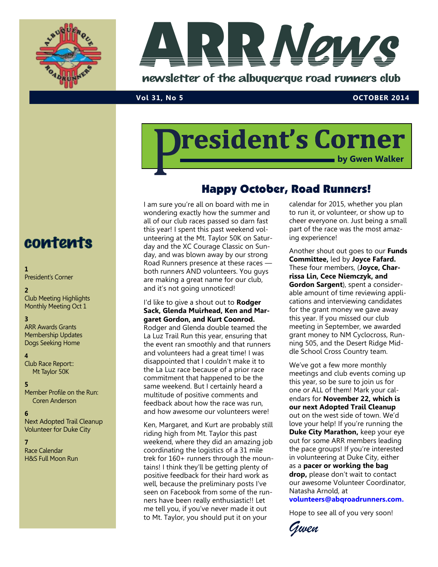



### **Vol 31, No 5 OCTOBER 2014**

# resident's Corner **by Gwen Walker**

## Happy October, Road Runners!

I am sure you're all on board with me in wondering exactly how the summer and all of our club races passed so darn fast this year! I spent this past weekend volunteering at the Mt. Taylor 50K on Saturday and the XC Courage Classic on Sunday, and was blown away by our strong Road Runners presence at these races both runners AND volunteers. You guys are making a great name for our club, and it's not going unnoticed!

### I'd like to give a shout out to **Rodger Sack, Glenda Muirhead, Ken and Margaret Gordon, and Kurt Coonrod.**

Rodger and Glenda double teamed the La Luz Trail Run this year, ensuring that the event ran smoothly and that runners and volunteers had a great time! I was disappointed that I couldn't make it to the La Luz race because of a prior race commitment that happened to be the same weekend. But I certainly heard a multitude of positive comments and feedback about how the race was run, and how awesome our volunteers were!

Ken, Margaret, and Kurt are probably still riding high from Mt. Taylor this past weekend, where they did an amazing job coordinating the logistics of a 31 mile trek for 160+ runners through the mountains! I think they'll be getting plenty of positive feedback for their hard work as well, because the preliminary posts I've seen on Facebook from some of the runners have been really enthusiastic!! Let me tell you, if you've never made it out to Mt. Taylor, you should put it on your

calendar for 2015, whether you plan to run it, or volunteer, or show up to cheer everyone on. Just being a small part of the race was the most amazing experience!

Another shout out goes to our **Funds Committee,** led by **Joyce Fafard.**  These four members, (**Joyce, Charrissa Lin, Cece Niemczyk, and Gordon Sargent**), spent a considerable amount of time reviewing applications and interviewing candidates for the grant money we gave away this year. If you missed our club meeting in September, we awarded grant money to NM Cyclocross, Running 505, and the Desert Ridge Middle School Cross Country team.

We've got a few more monthly meetings and club events coming up this year, so be sure to join us for one or ALL of them! Mark your calendars for **November 22, which is our next Adopted Trail Cleanup**  out on the west side of town. We'd love your help! If you're running the **Duke City Marathon,** keep your eye out for some ARR members leading the pace groups! If you're interested in volunteering at Duke City, either as a **pacer or working the bag drop,** please don't wait to contact our awesome Volunteer Coordinator, Natasha Arnold, at

**[volunteers@abqroadrunners.com.](mailto:volunteers@abqroadrunners.com)** 

Hope to see all of you very soon!

*Gwen*

## contents

#### **1**

President's Corner

#### **2**

Club Meeting Highlights Monthly Meeting Oct 1

## **3**

ARR Awards Grants Membership Updates Dogs Seeking Home

#### **4**

Club Race Report:: Mt Taylor 50K

#### **5**

Member Profile on the Run: Coren Anderson

#### **6**

Next Adopted Trail Cleanup Volunteer for Duke City

**7**

Race Calendar H&S Full Moon Run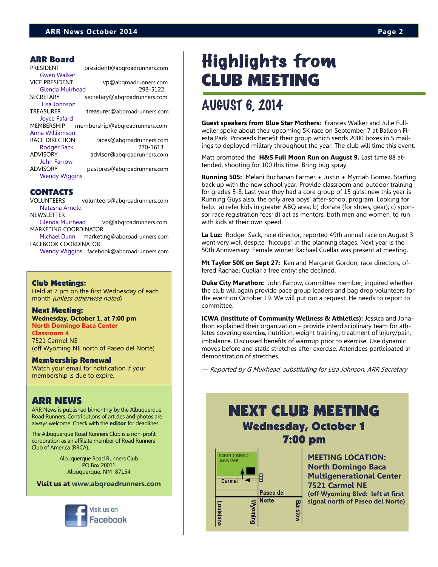#### ARR Board

| PRESIDENT              | president@abqroadrunners.com  |
|------------------------|-------------------------------|
| <b>Gwen Walker</b>     |                               |
| <b>VICE PRESIDENT</b>  | vp@abqroadrunners.com         |
| <b>Glenda Muirhead</b> | 293-5122                      |
| SECRETARY              | secretary@abgroadrunners.com  |
| Lisa Johnson           |                               |
| TREASURER              | treasurer@abqroadrunners.com  |
| <b>Joyce Fafard</b>    |                               |
| MEMBERSHIP             | membership@abgroadrunners.com |
| Anna Williamson        |                               |
| RACE DIRECTION         | races@abgroadrunners.com      |
| Rodger Sack            | 270-1613                      |
| ADVISORY               | advisor@abqroadrunners.com    |
| <b>John Farrow</b>     |                               |
| ADVISORY               | pastpres@abgroadrunners.com   |
| <b>Wendy Wiggins</b>   |                               |
|                        |                               |

## CONTACTS

VOLUNTEERS volunteers@abqroadrunners.com [Natasha Arnold](mailto:volunteers@abqroadrunners.com)

NEWSLETTER [Glenda Muirhead](mailto:vp@abqroadrunners.com) vp@abqroadrunners.com

MARKETING COORDINATOR [Michael Dunn](mailto:marketing@abqroadrunners.com) marketing@abqroadrunners.com

FACEBOOK COORDINATOR [Wendy Wiggins](mailto:facebook@abqroadrunners.com) facebook@abqroadrunners.com

Club Meetings:

Held at 7 pm on the first Wednesday of each month (unless otherwise noted)

#### Next Meeting:

**Wednesday, October 1, at 7:00 pm North Domingo Baca Center Classroom 4**

7521 Carmel NE (off Wyoming NE north of Paseo del Norte)

#### Membership Renewal

Watch your email for notification if your membership is due to expire.

## ARR NEWS

ARR News is published bimonthly by the Albuquerque Road Runners. Contributions of articles and photos are always welcome. Check with the **[editor](mailto:vp@abqroadrunners.com?subject=ARR%20Newsletter)** for deadlines.

The Albuquerque Road Runners Club is a non-profit corporation as an affiliate member of Road Runners Club of America (RRCA).

> Albuquerque Road Runners Club PO Box 20011 Albuquerque, NM 87154

**Visit us at [www.abqroadrunners.com](http://www.abqroadrunners.com)**



## Highlights from CLUB MEETING

## AUGUST 6, 2014

**Guest speakers from Blue Star Mothers:** Frances Walker and Julie Fullweiler spoke about their upcoming 5K race on September 7 at Balloon Fiesta Park. Proceeds benefit their group which sends 2000 boxes in 5 mailings to deployed military throughout the year. The club will time this event.

Matt promoted the **H&S Full Moon Run on August 9.** Last time 88 attended, shooting for 100 this time. Bring bug spray.

**Running 505:** Melani Buchanan Farmer + Justin + Myrriah Gomez. Starting back up with the new school year. Provide classroom and outdoor training for grades 5-8. Last year they had a core group of 15 girls; new this year is Running Guys also, the only area boys' after-school program. Looking for help: a) refer kids in greater ABQ area; b) donate (for shoes, gear); c) sponsor race registration fees; d) act as mentors, both men and women, to run with kids at their own speed.

**La Luz:** Rodger Sack, race director, reported 49th annual race on August 3 went very well despite "hiccups" in the planning stages. Next year is the 50th Anniversary. Female winner Rachael Cuellar was present at meeting.

**Mt Taylor 50K on Sept 27:** Ken and Margaret Gordon, race directors, offered Rachael Cuellar a free entry; she declined.

**Duke City Marathon:** John Farrow, committee member, inquired whether the club will again provide pace group leaders and bag drop volunteers for the event on October 19. We will put out a request. He needs to report to committee.

**ICWA (Institute of Community Wellness & Athletics):** Jessica and Jonathon explained their organization – provide interdisciplinary team for athletes covering exercise, nutrition, weight training, treatment of injury/pain, imbalance. Discussed benefits of warmup prior to exercise. Use dynamic moves before and static stretches after exercise. Attendees participated in demonstration of stretches.

— Reported by G Muirhead, substituting for Lisa Johnson, ARR Secretary

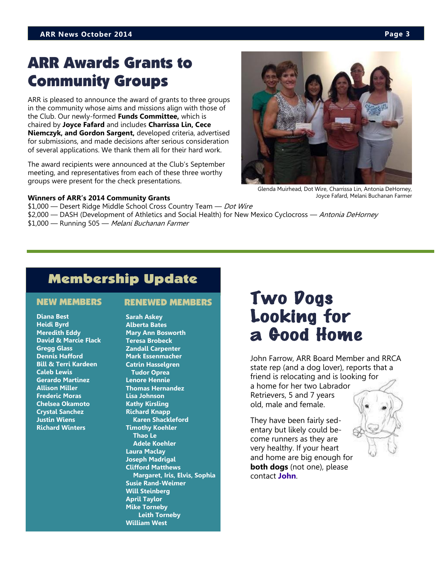## ARR Awards Grants to Community Groups

ARR is pleased to announce the award of grants to three groups in the community whose aims and missions align with those of the Club. Our newly-formed **Funds Committee,** which is chaired by **Joyce Fafard** and includes **Charrissa Lin, Cece Niemczyk, and Gordon Sargent,** developed criteria, advertised for submissions, and made decisions after serious consideration of several applications. We thank them all for their hard work.

The award recipients were announced at the Club's September meeting, and representatives from each of these three worthy groups were present for the check presentations.

#### **Winners of ARR's 2014 Community Grants**

Glenda Muirhead, Dot Wire, Charrissa Lin, Antonia DeHorney, Joyce Fafard, Melani Buchanan Farmer

\$1,000 — Desert Ridge Middle School Cross Country Team — Dot Wire \$2,000 — DASH (Development of Athletics and Social Health) for New Mexico Cyclocross — Antonia DeHorney \$1,000 — Running 505 — Melani Buchanan Farmer

## Membership Update

**Diana Best Heidi Byrd Meredith Eddy David & Marcie Flack Gregg Glass Dennis Hafford Bill & Terri Kardeen Caleb Lewis Gerardo Martinez Allison Miller Frederic Moras Chelsea Okamoto Crystal Sanchez Justin Wiens Richard Winters**

**Sarah Askey Alberta Bates Mary Ann Bosworth Teresa Brobeck Zandall Carpenter Mark Essenmacher Catrin Hasselgren Tudor Oprea Lenore Hennie Thomas Hernandez Lisa Johnson Kathy Kirsling Richard Knapp Karen Shackleford Timothy Koehler Thao Le Adele Koehler Laura Maclay Joseph Madrigal Clifford Matthews Margaret, Iris, Elvis, Sophia Susie Rand-Weimer Will Steinberg April Taylor Mike Torneby Leith Torneby William West**

## NEW MEMBERS RENEWED MEMBERS TWO DOGS Looking for a Good Home

John Farrow, ARR Board Member and RRCA state rep (and a dog lover), reports that a friend is relocating and is looking for a home for her two Labrador Retrievers, 5 and 7 years old, male and female.

They have been fairly sedentary but likely could become runners as they are very healthy. If your heart and home are big enough for **both dogs** (not one), please contact **[John](mailto:advisor@abqroadrunners.com)**.

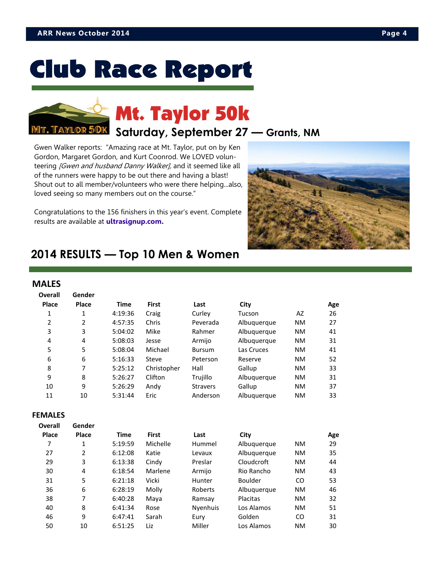# **Club Race Report**



# Mt. Taylor 50k

## **Saturday, September 27 — Grants, NM**

Gwen Walker reports: "Amazing race at Mt. Taylor, put on by [Ken](https://www.facebook.com/kgordon18)  [Gordon,](https://www.facebook.com/kgordon18) [Margaret Gordon,](https://www.facebook.com/margaret.e.ochs) and Kurt Coonrod. We LOVED volunteering *[Gwen and husband Danny Walker]*, and it seemed like all of the runners were happy to be out there and having a blast! Shout out to all member/volunteers who were there helping...also, loved seeing so many members out on the course."

Congratulations to the 156 finishers in this year's event. Complete results are available at **[ultrasignup.com.](http://ultrasignup.com/results_event.aspx?did=18223)**



## **2014 RESULTS — Top 10 Men & Women**

### **MALES**

| <b>Overall</b> | Gender       |             |              |                 |             |           |     |
|----------------|--------------|-------------|--------------|-----------------|-------------|-----------|-----|
| Place          | <b>Place</b> | <b>Time</b> | <b>First</b> | Last            | City        |           | Age |
| 1              | 1            | 4:19:36     | Craig        | Curley          | Tucson      | AZ        | 26  |
| $\overline{2}$ | 2            | 4:57:35     | Chris        | Peverada        | Albuquerque | <b>NM</b> | 27  |
| 3              | 3            | 5:04:02     | Mike         | Rahmer          | Albuquerque | <b>NM</b> | 41  |
| 4              | 4            | 5:08:03     | Jesse        | Armijo          | Albuquerque | <b>NM</b> | 31  |
| 5              | 5            | 5:08:04     | Michael      | <b>Bursum</b>   | Las Cruces  | <b>NM</b> | 41  |
| 6              | 6            | 5:16:33     | Steve        | Peterson        | Reserve     | <b>NM</b> | 52  |
| 8              | 7            | 5:25:12     | Christopher  | Hall            | Gallup      | <b>NM</b> | 33  |
| 9              | 8            | 5:26:27     | Clifton      | Trujillo        | Albuquerque | <b>NM</b> | 31  |
| 10             | 9            | 5:26:29     | Andy         | <b>Stravers</b> | Gallup      | <b>NM</b> | 37  |
| 11             | 10           | 5:31:44     | Eric         | Anderson        | Albuquerque | <b>NM</b> | 33  |

#### **FEMALES**

| <b>Overall</b> | Gender       |             |              |          |                |           |     |
|----------------|--------------|-------------|--------------|----------|----------------|-----------|-----|
| Place          | <b>Place</b> | <b>Time</b> | <b>First</b> | Last     | City           |           | Age |
| 7              | 1            | 5:19:59     | Michelle     | Hummel   | Albuquerque    | <b>NM</b> | 29  |
| 27             | 2            | 6:12:08     | Katie        | Levaux   | Albuguergue    | <b>NM</b> | 35  |
| 29             | 3            | 6:13:38     | Cindy        | Preslar  | Cloudcroft     | <b>NM</b> | 44  |
| 30             | 4            | 6:18:54     | Marlene      | Armijo   | Rio Rancho     | <b>NM</b> | 43  |
| 31             | 5            | 6:21:18     | Vicki        | Hunter   | <b>Boulder</b> | CO.       | 53  |
| 36             | 6            | 6:28:19     | Molly        | Roberts  | Albuquerque    | <b>NM</b> | 46  |
| 38             | 7            | 6:40:28     | Maya         | Ramsay   | Placitas       | <b>NM</b> | 32  |
| 40             | 8            | 6:41:34     | Rose         | Nyenhuis | Los Alamos     | <b>NM</b> | 51  |
| 46             | 9            | 6:47:41     | Sarah        | Eury     | Golden         | CO.       | 31  |
| 50             | 10           | 6:51:25     | Liz          | Miller   | Los Alamos     | <b>NM</b> | 30  |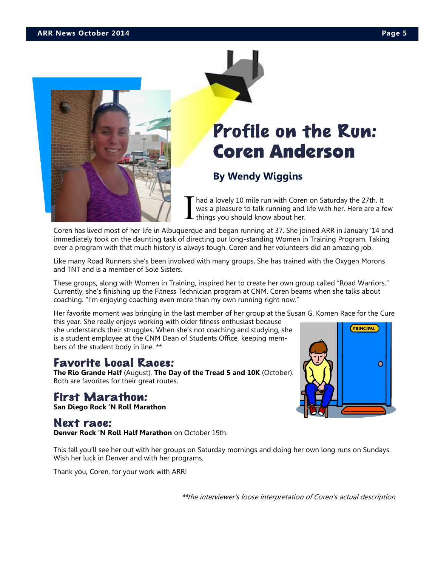

# Profile on the Run: Coren Anderson

## **By Wendy Wiggins**

I had a lovely 10 mile run with Coren on Saturday the 27th. It was a pleasure to talk running and life with her. Here are a few things you should know about her.

Coren has lived most of her life in Albuquerque and began running at 37. She joined ARR in January '14 and immediately took on the daunting task of directing our long-standing Women in Training Program. Taking over a program with that much history is always tough. Coren and her volunteers did an amazing job.

Like many Road Runners she's been involved with many groups. She has trained with the Oxygen Morons and TNT and is a member of Sole Sisters.

These groups, along with Women in Training, inspired her to create her own group called "Road Warriors." Currently, she's finishing up the Fitness Technician program at CNM. Coren beams when she talks about coaching. "I'm enjoying coaching even more than my own running right now."

Her favorite moment was bringing in the last member of her group at the Susan G. Komen Race for the Cure this year. She really enjoys working with older fitness enthusiast because

she understands their struggles. When she's not coaching and studying, she is a student employee at the CNM Dean of Students Office, keeping members of the student body in line. \*\*

## Favorite Local Races:

**The Rio Grande Half** (August). **The Day of the Tread 5 and 10K** (October). Both are favorites for their great routes.

## First Marathon:

**San Diego Rock 'N Roll Marathon**

## Next race:

**Denver Rock 'N Roll Half Marathon** on October 19th.

This fall you'll see her out with her groups on Saturday mornings and doing her own long runs on Sundays. Wish her luck in Denver and with her programs.

Thank you, Coren, for your work with ARR!

\*\*the interviewer's loose interpretation of Coren's actual description



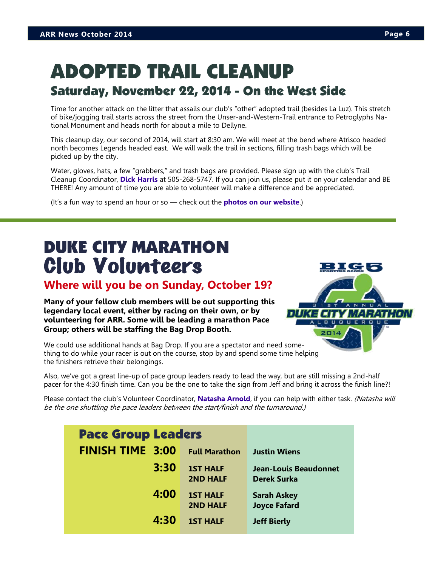## ADOPTED TRAIL CLEANUP Saturday, November 22, 2014 - On the West Side

Time for another attack on the litter that assails our club's "other" adopted trail (besides La Luz). This stretch of bike/jogging trail starts across the street from the Unser-and-Western-Trail entrance to Petroglyphs National Monument and heads north for about a mile to Dellyne.

This cleanup day, our second of 2014, will start at 8:30 am. We will meet at the bend where Atrisco headed north becomes Legends headed east. We will walk the trail in sections, filling trash bags which will be picked up by the city.

Water, gloves, hats, a few "grabbers," and trash bags are provided. Please sign up with the club's Trail Cleanup Coordinator, **[Dick Harris](mailto:cleanup@abqroadrunners.com)** at 505-268-5747. If you can join us, please put it on your calendar and BE THERE! Any amount of time you are able to volunteer will make a difference and be appreciated.

(It's a fun way to spend an hour or so — check out the **[photos on our website](http://www.abqroadrunners.com/adopted-trail-cleanup.html)**.)

## DUKE CITY MARATHON Club Volunteers

## **Where will you be on Sunday, October 19?**

**Many of your fellow club members will be out supporting this legendary local event, either by racing on their own, or by volunteering for ARR. Some will be leading a marathon Pace Group; others will be staffing the Bag Drop Booth.**



We could use additional hands at Bag Drop. If you are a spectator and need something to do while your racer is out on the course, stop by and spend some time helping the finishers retrieve their belongings.

Also, we've got a great line-up of pace group leaders ready to lead the way, but are still missing a 2nd-half pacer for the 4:30 finish time. Can you be the one to take the sign from Jeff and bring it across the finish line?!

Please contact the club's Volunteer Coordinator, **[Natasha Arnold](mailto:volunteers@abqroadrunners.com)**, if you can help with either task. (Natasha will be the one shuttling the pace leaders between the start/finish and the turnaround.)

| <b>Pace Group Leaders</b> |                                    |                                             |
|---------------------------|------------------------------------|---------------------------------------------|
| <b>FINISH TIME 3:00</b>   | <b>Full Marathon</b>               | <b>Justin Wiens</b>                         |
| 3:30                      | <b>1ST HALF</b><br><b>2ND HALF</b> | Jean-Louis Beaudonnet<br><b>Derek Surka</b> |
| 4:00                      | <b>1ST HALF</b><br><b>2ND HALF</b> | <b>Sarah Askey</b><br><b>Joyce Fafard</b>   |
| 4:30                      | <b>1ST HALF</b>                    | <b>Jeff Bierly</b>                          |